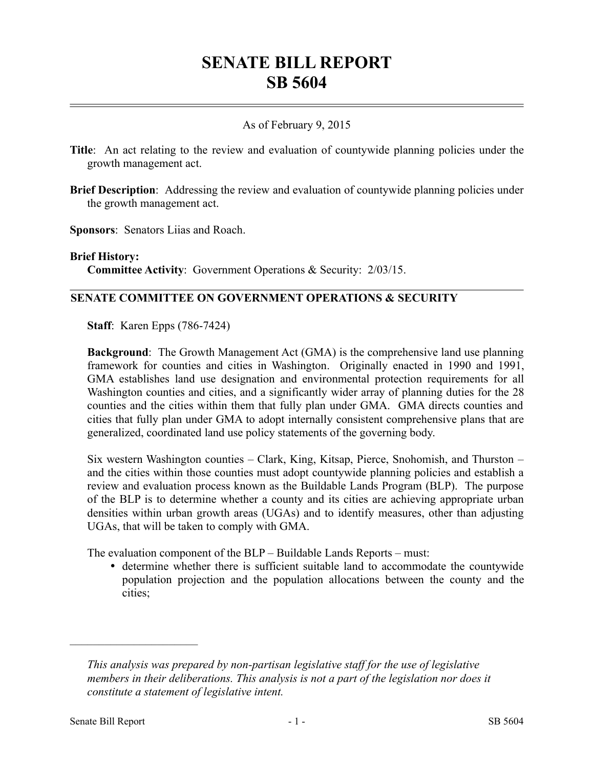# **SENATE BILL REPORT SB 5604**

## As of February 9, 2015

- **Title**: An act relating to the review and evaluation of countywide planning policies under the growth management act.
- **Brief Description**: Addressing the review and evaluation of countywide planning policies under the growth management act.

**Sponsors**: Senators Liias and Roach.

#### **Brief History:**

**Committee Activity**: Government Operations & Security: 2/03/15.

## **SENATE COMMITTEE ON GOVERNMENT OPERATIONS & SECURITY**

**Staff**: Karen Epps (786-7424)

**Background**: The Growth Management Act (GMA) is the comprehensive land use planning framework for counties and cities in Washington. Originally enacted in 1990 and 1991, GMA establishes land use designation and environmental protection requirements for all Washington counties and cities, and a significantly wider array of planning duties for the 28 counties and the cities within them that fully plan under GMA. GMA directs counties and cities that fully plan under GMA to adopt internally consistent comprehensive plans that are generalized, coordinated land use policy statements of the governing body.

Six western Washington counties – Clark, King, Kitsap, Pierce, Snohomish, and Thurston – and the cities within those counties must adopt countywide planning policies and establish a review and evaluation process known as the Buildable Lands Program (BLP). The purpose of the BLP is to determine whether a county and its cities are achieving appropriate urban densities within urban growth areas (UGAs) and to identify measures, other than adjusting UGAs, that will be taken to comply with GMA.

The evaluation component of the BLP – Buildable Lands Reports – must:

 determine whether there is sufficient suitable land to accommodate the countywide population projection and the population allocations between the county and the cities;

––––––––––––––––––––––

*This analysis was prepared by non-partisan legislative staff for the use of legislative members in their deliberations. This analysis is not a part of the legislation nor does it constitute a statement of legislative intent.*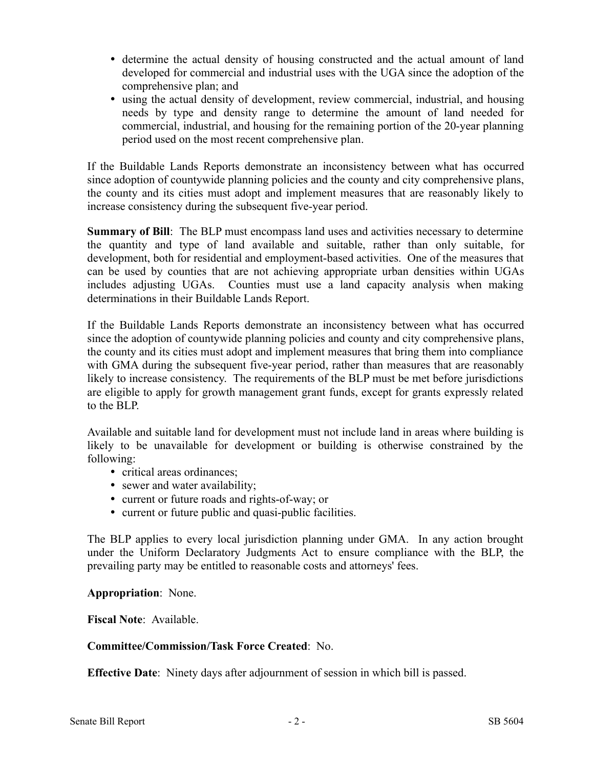- determine the actual density of housing constructed and the actual amount of land developed for commercial and industrial uses with the UGA since the adoption of the comprehensive plan; and
- using the actual density of development, review commercial, industrial, and housing needs by type and density range to determine the amount of land needed for commercial, industrial, and housing for the remaining portion of the 20-year planning period used on the most recent comprehensive plan.

If the Buildable Lands Reports demonstrate an inconsistency between what has occurred since adoption of countywide planning policies and the county and city comprehensive plans, the county and its cities must adopt and implement measures that are reasonably likely to increase consistency during the subsequent five-year period.

**Summary of Bill**: The BLP must encompass land uses and activities necessary to determine the quantity and type of land available and suitable, rather than only suitable, for development, both for residential and employment-based activities. One of the measures that can be used by counties that are not achieving appropriate urban densities within UGAs includes adjusting UGAs. Counties must use a land capacity analysis when making determinations in their Buildable Lands Report.

If the Buildable Lands Reports demonstrate an inconsistency between what has occurred since the adoption of countywide planning policies and county and city comprehensive plans, the county and its cities must adopt and implement measures that bring them into compliance with GMA during the subsequent five-year period, rather than measures that are reasonably likely to increase consistency. The requirements of the BLP must be met before jurisdictions are eligible to apply for growth management grant funds, except for grants expressly related to the BLP.

Available and suitable land for development must not include land in areas where building is likely to be unavailable for development or building is otherwise constrained by the following:

- critical areas ordinances;
- sewer and water availability;
- current or future roads and rights-of-way; or
- current or future public and quasi-public facilities.

The BLP applies to every local jurisdiction planning under GMA. In any action brought under the Uniform Declaratory Judgments Act to ensure compliance with the BLP, the prevailing party may be entitled to reasonable costs and attorneys' fees.

**Appropriation**: None.

**Fiscal Note**: Available.

## **Committee/Commission/Task Force Created**: No.

**Effective Date**: Ninety days after adjournment of session in which bill is passed.